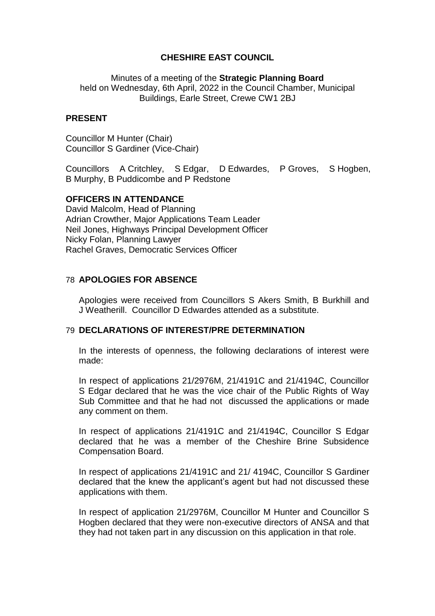# **CHESHIRE EAST COUNCIL**

Minutes of a meeting of the **Strategic Planning Board** held on Wednesday, 6th April, 2022 in the Council Chamber, Municipal Buildings, Earle Street, Crewe CW1 2BJ

### **PRESENT**

Councillor M Hunter (Chair) Councillor S Gardiner (Vice-Chair)

Councillors A Critchley, S Edgar, D Edwardes, P Groves, S Hogben, B Murphy, B Puddicombe and P Redstone

### **OFFICERS IN ATTENDANCE**

David Malcolm, Head of Planning Adrian Crowther, Major Applications Team Leader Neil Jones, Highways Principal Development Officer Nicky Folan, Planning Lawyer Rachel Graves, Democratic Services Officer

# 78 **APOLOGIES FOR ABSENCE**

Apologies were received from Councillors S Akers Smith, B Burkhill and J Weatherill. Councillor D Edwardes attended as a substitute.

# 79 **DECLARATIONS OF INTEREST/PRE DETERMINATION**

In the interests of openness, the following declarations of interest were made:

In respect of applications 21/2976M, 21/4191C and 21/4194C, Councillor S Edgar declared that he was the vice chair of the Public Rights of Way Sub Committee and that he had not discussed the applications or made any comment on them.

In respect of applications 21/4191C and 21/4194C, Councillor S Edgar declared that he was a member of the Cheshire Brine Subsidence Compensation Board.

In respect of applications 21/4191C and 21/ 4194C, Councillor S Gardiner declared that the knew the applicant's agent but had not discussed these applications with them.

In respect of application 21/2976M, Councillor M Hunter and Councillor S Hogben declared that they were non-executive directors of ANSA and that they had not taken part in any discussion on this application in that role.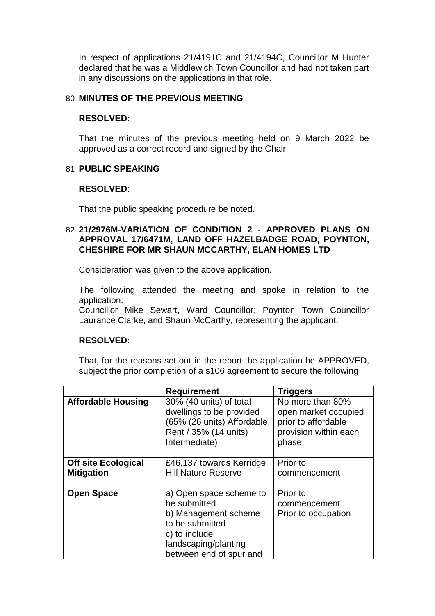In respect of applications 21/4191C and 21/4194C, Councillor M Hunter declared that he was a Middlewich Town Councillor and had not taken part in any discussions on the applications in that role.

### 80 **MINUTES OF THE PREVIOUS MEETING**

#### **RESOLVED:**

That the minutes of the previous meeting held on 9 March 2022 be approved as a correct record and signed by the Chair.

### 81 **PUBLIC SPEAKING**

### **RESOLVED:**

That the public speaking procedure be noted.

# 82 **21/2976M-VARIATION OF CONDITION 2 - APPROVED PLANS ON APPROVAL 17/6471M, LAND OFF HAZELBADGE ROAD, POYNTON, CHESHIRE FOR MR SHAUN MCCARTHY, ELAN HOMES LTD**

Consideration was given to the above application.

The following attended the meeting and spoke in relation to the application:

Councillor Mike Sewart, Ward Councillor; Poynton Town Councillor Laurance Clarke, and Shaun McCarthy, representing the applicant.

#### **RESOLVED:**

That, for the reasons set out in the report the application be APPROVED, subject the prior completion of a s106 agreement to secure the following

|                                                 | <b>Requirement</b>                                                                                                                                     | <b>Triggers</b>                                                                                   |
|-------------------------------------------------|--------------------------------------------------------------------------------------------------------------------------------------------------------|---------------------------------------------------------------------------------------------------|
| <b>Affordable Housing</b>                       | 30% (40 units) of total<br>dwellings to be provided<br>(65% (26 units) Affordable<br>Rent / 35% (14 units)<br>Intermediate)                            | No more than 80%<br>open market occupied<br>prior to affordable<br>provision within each<br>phase |
| <b>Off site Ecological</b><br><b>Mitigation</b> | £46,137 towards Kerridge<br><b>Hill Nature Reserve</b>                                                                                                 | Prior to<br>commencement                                                                          |
| <b>Open Space</b>                               | a) Open space scheme to<br>be submitted<br>b) Management scheme<br>to be submitted<br>c) to include<br>landscaping/planting<br>between end of spur and | Prior to<br>commencement<br>Prior to occupation                                                   |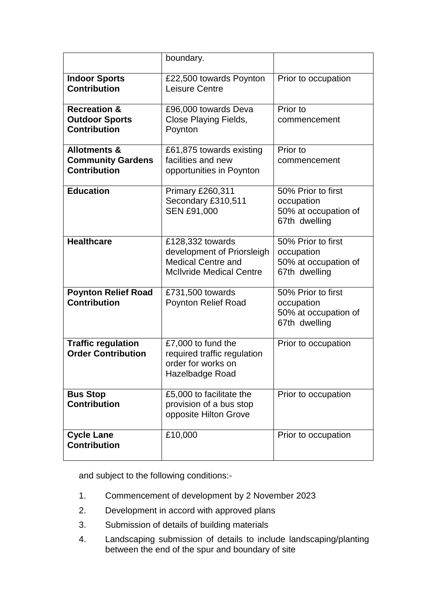|                                                                            | boundary.                                                                                                      |                                                                           |  |
|----------------------------------------------------------------------------|----------------------------------------------------------------------------------------------------------------|---------------------------------------------------------------------------|--|
| <b>Indoor Sports</b><br><b>Contribution</b>                                | £22,500 towards Poynton<br>Leisure Centre                                                                      | Prior to occupation                                                       |  |
| <b>Recreation &amp;</b><br><b>Outdoor Sports</b><br><b>Contribution</b>    | £96,000 towards Deva<br>Close Playing Fields,<br>Poynton                                                       | Prior to<br>commencement                                                  |  |
| <b>Allotments &amp;</b><br><b>Community Gardens</b><br><b>Contribution</b> | £61,875 towards existing<br>facilities and new<br>opportunities in Poynton                                     | Prior to<br>commencement                                                  |  |
| <b>Education</b>                                                           | Primary £260,311<br>Secondary £310,511<br><b>SEN £91,000</b>                                                   | 50% Prior to first<br>occupation<br>50% at occupation of<br>67th dwelling |  |
| <b>Healthcare</b>                                                          | £128,332 towards<br>development of Priorsleigh<br><b>Medical Centre and</b><br><b>McIlvride Medical Centre</b> | 50% Prior to first<br>occupation<br>50% at occupation of<br>67th dwelling |  |
| <b>Poynton Relief Road</b><br><b>Contribution</b>                          | £731,500 towards<br><b>Poynton Relief Road</b>                                                                 | 50% Prior to first<br>occupation<br>50% at occupation of<br>67th dwelling |  |
| <b>Traffic regulation</b><br><b>Order Contribution</b>                     | £7,000 to fund the<br>required traffic regulation<br>order for works on<br>Hazelbadge Road                     | Prior to occupation                                                       |  |
| <b>Bus Stop</b><br><b>Contribution</b>                                     | £5,000 to facilitate the<br>provision of a bus stop<br>opposite Hilton Grove                                   | Prior to occupation                                                       |  |
| <b>Cycle Lane</b><br><b>Contribution</b>                                   | £10,000                                                                                                        | Prior to occupation                                                       |  |

and subject to the following conditions:-

- 1. Commencement of development by 2 November 2023
- 2. Development in accord with approved plans
- 3. Submission of details of building materials
- 4. Landscaping submission of details to include landscaping/planting between the end of the spur and boundary of site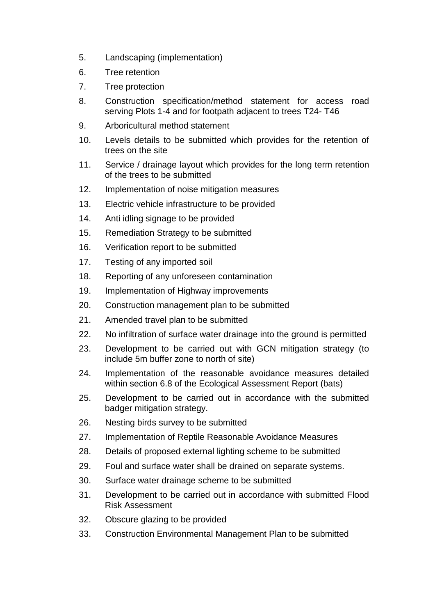- 5. Landscaping (implementation)
- 6. Tree retention
- 7. Tree protection
- 8. Construction specification/method statement for access road serving Plots 1-4 and for footpath adjacent to trees T24- T46
- 9. Arboricultural method statement
- 10. Levels details to be submitted which provides for the retention of trees on the site
- 11. Service / drainage layout which provides for the long term retention of the trees to be submitted
- 12. Implementation of noise mitigation measures
- 13. Electric vehicle infrastructure to be provided
- 14. Anti idling signage to be provided
- 15. Remediation Strategy to be submitted
- 16. Verification report to be submitted
- 17. Testing of any imported soil
- 18. Reporting of any unforeseen contamination
- 19. Implementation of Highway improvements
- 20. Construction management plan to be submitted
- 21. Amended travel plan to be submitted
- 22. No infiltration of surface water drainage into the ground is permitted
- 23. Development to be carried out with GCN mitigation strategy (to include 5m buffer zone to north of site)
- 24. Implementation of the reasonable avoidance measures detailed within section 6.8 of the Ecological Assessment Report (bats)
- 25. Development to be carried out in accordance with the submitted badger mitigation strategy.
- 26. Nesting birds survey to be submitted
- 27. Implementation of Reptile Reasonable Avoidance Measures
- 28. Details of proposed external lighting scheme to be submitted
- 29. Foul and surface water shall be drained on separate systems.
- 30. Surface water drainage scheme to be submitted
- 31. Development to be carried out in accordance with submitted Flood Risk Assessment
- 32. Obscure glazing to be provided
- 33. Construction Environmental Management Plan to be submitted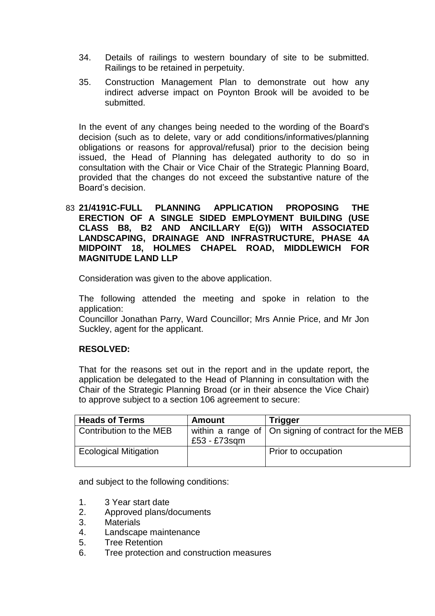- 34. Details of railings to western boundary of site to be submitted. Railings to be retained in perpetuity.
- 35. Construction Management Plan to demonstrate out how any indirect adverse impact on Poynton Brook will be avoided to be submitted.

In the event of any changes being needed to the wording of the Board's decision (such as to delete, vary or add conditions/informatives/planning obligations or reasons for approval/refusal) prior to the decision being issued, the Head of Planning has delegated authority to do so in consultation with the Chair or Vice Chair of the Strategic Planning Board, provided that the changes do not exceed the substantive nature of the Board's decision.

# 83 **21/4191C-FULL PLANNING APPLICATION PROPOSING THE ERECTION OF A SINGLE SIDED EMPLOYMENT BUILDING (USE CLASS B8, B2 AND ANCILLARY E(G)) WITH ASSOCIATED LANDSCAPING, DRAINAGE AND INFRASTRUCTURE, PHASE 4A MIDPOINT 18, HOLMES CHAPEL ROAD, MIDDLEWICH FOR MAGNITUDE LAND LLP**

Consideration was given to the above application.

The following attended the meeting and spoke in relation to the application:

Councillor Jonathan Parry, Ward Councillor; Mrs Annie Price, and Mr Jon Suckley, agent for the applicant.

# **RESOLVED:**

That for the reasons set out in the report and in the update report, the application be delegated to the Head of Planning in consultation with the Chair of the Strategic Planning Broad (or in their absence the Vice Chair) to approve subject to a section 106 agreement to secure:

| <b>Heads of Terms</b>        | <b>Amount</b> | <b>Trigger</b>                                               |
|------------------------------|---------------|--------------------------------------------------------------|
| Contribution to the MEB      | £53 - £73sgm  | within a range of $\vert$ On signing of contract for the MEB |
| <b>Ecological Mitigation</b> |               | Prior to occupation                                          |

and subject to the following conditions:

- 1. 3 Year start date
- 2. Approved plans/documents
- 3. Materials
- 4. Landscape maintenance
- 5. Tree Retention
- 6. Tree protection and construction measures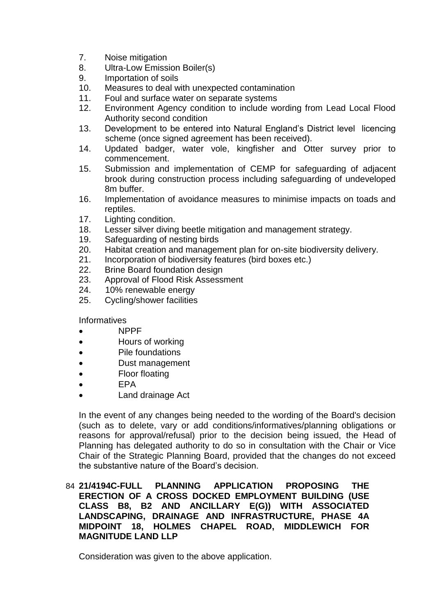- 7. Noise mitigation
- 8. Ultra-Low Emission Boiler(s)
- 9. Importation of soils
- 10. Measures to deal with unexpected contamination
- 11. Foul and surface water on separate systems
- 12. Environment Agency condition to include wording from Lead Local Flood Authority second condition
- 13. Development to be entered into Natural England's District level licencing scheme (once signed agreement has been received).
- 14. Updated badger, water vole, kingfisher and Otter survey prior to commencement.
- 15. Submission and implementation of CEMP for safeguarding of adjacent brook during construction process including safeguarding of undeveloped 8m buffer.
- 16. Implementation of avoidance measures to minimise impacts on toads and reptiles.
- 17. Lighting condition.
- 18. Lesser silver diving beetle mitigation and management strategy.
- 19. Safeguarding of nesting birds
- 20. Habitat creation and management plan for on-site biodiversity delivery.
- 21. Incorporation of biodiversity features (bird boxes etc.)
- 22. Brine Board foundation design
- 23. Approval of Flood Risk Assessment
- 24. 10% renewable energy
- 25. Cycling/shower facilities

Informatives

- NPPF
- Hours of working
- Pile foundations
- Dust management
- Floor floating
- $\bullet$  FPA
- Land drainage Act

In the event of any changes being needed to the wording of the Board's decision (such as to delete, vary or add conditions/informatives/planning obligations or reasons for approval/refusal) prior to the decision being issued, the Head of Planning has delegated authority to do so in consultation with the Chair or Vice Chair of the Strategic Planning Board, provided that the changes do not exceed the substantive nature of the Board's decision.

# 84 **21/4194C-FULL PLANNING APPLICATION PROPOSING THE ERECTION OF A CROSS DOCKED EMPLOYMENT BUILDING (USE CLASS B8, B2 AND ANCILLARY E(G)) WITH ASSOCIATED LANDSCAPING, DRAINAGE AND INFRASTRUCTURE, PHASE 4A MIDPOINT 18, HOLMES CHAPEL ROAD, MIDDLEWICH FOR MAGNITUDE LAND LLP**

Consideration was given to the above application.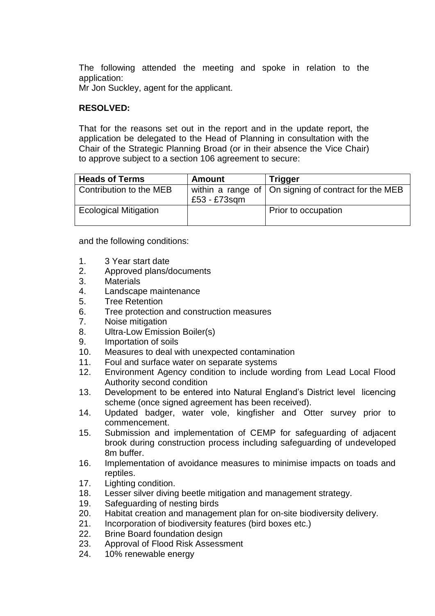The following attended the meeting and spoke in relation to the application:

Mr Jon Suckley, agent for the applicant.

# **RESOLVED:**

That for the reasons set out in the report and in the update report, the application be delegated to the Head of Planning in consultation with the Chair of the Strategic Planning Broad (or in their absence the Vice Chair) to approve subject to a section 106 agreement to secure:

| <b>Heads of Terms</b>        | <b>Amount</b> | <b>Trigger</b>                                               |
|------------------------------|---------------|--------------------------------------------------------------|
| Contribution to the MEB      | £53 - £73sqm  | within a range of $\vert$ On signing of contract for the MEB |
| <b>Ecological Mitigation</b> |               | Prior to occupation                                          |

and the following conditions:

- 1. 3 Year start date
- 2. Approved plans/documents
- 3. Materials
- 4. Landscape maintenance
- 5. Tree Retention
- 6. Tree protection and construction measures
- 7. Noise mitigation
- 8. Ultra-Low Emission Boiler(s)
- 9. Importation of soils
- 10. Measures to deal with unexpected contamination
- 11. Foul and surface water on separate systems
- 12. Environment Agency condition to include wording from Lead Local Flood Authority second condition
- 13. Development to be entered into Natural England's District level licencing scheme (once signed agreement has been received).
- 14. Updated badger, water vole, kingfisher and Otter survey prior to commencement.
- 15. Submission and implementation of CEMP for safeguarding of adjacent brook during construction process including safeguarding of undeveloped 8m buffer.
- 16. Implementation of avoidance measures to minimise impacts on toads and reptiles.
- 17. Lighting condition.
- 18. Lesser silver diving beetle mitigation and management strategy.
- 19. Safeguarding of nesting birds
- 20. Habitat creation and management plan for on-site biodiversity delivery.
- 21. Incorporation of biodiversity features (bird boxes etc.)
- 22. Brine Board foundation design
- 23. Approval of Flood Risk Assessment
- 24. 10% renewable energy